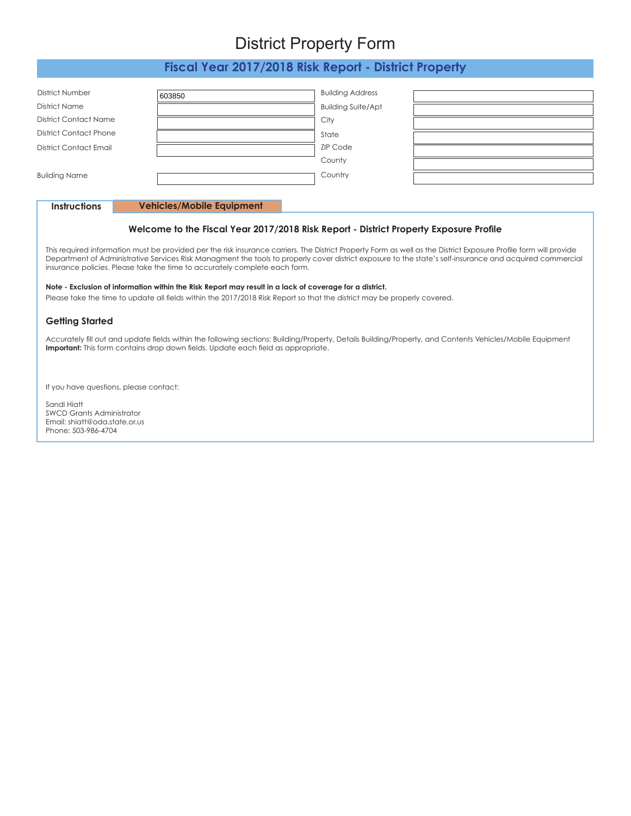## District Property Form

### **Fiscal Year 2017/2018 Risk Report - District Property**

<span id="page-0-0"></span>

| District Number               | 603850 | <b>Building Address</b>   |  |
|-------------------------------|--------|---------------------------|--|
| <b>District Name</b>          |        | <b>Building Suite/Apt</b> |  |
| <b>District Contact Name</b>  |        | City                      |  |
| <b>District Contact Phone</b> |        | State                     |  |
| District Contact Email        |        | <b>ZIP Code</b>           |  |
|                               |        | County                    |  |
| <b>Building Name</b>          |        | Country                   |  |
|                               |        |                           |  |

#### **Instructions [Vehicles/Mobile Equipment](#page-1-0)**

#### **Welcome to the Fiscal Year 2017/2018 Risk Report - District Property Exposure Profile**

This required information must be provided per the risk insurance carriers. The District Property Form as well as the District Exposure Profile form will provide Department of Administrative Services Risk Managment the tools to properly cover district exposure to the state's self-insurance and acquired commercial insurance policies. Please take the time to accurately complete each form.

#### **Note - Exclusion of information within the Risk Report may result in a lack of coverage for a district.**

Please take the time to update all fields within the 2017/2018 Risk Report so that the district may be properly covered.

#### **Getting Started**

Accurately fill out and update fields within the following sections: Building/Property, Details Building/Property, and Contents Vehicles/Mobile Equipment **Important:** This form contains drop down fields. Update each field as appropriate.

If you have questions, please contact:

Sandi Hiatt SWCD Grants Administrator Email: shiatt@oda.state.or.us Phone: 503-986-4704